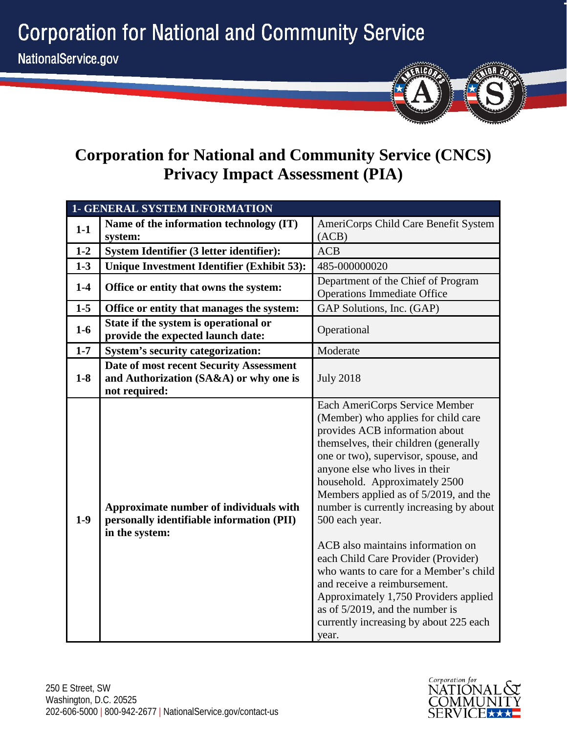**Corporation for National and Community Service** 



# **Corporation for National and Community Service (CNCS) Privacy Impact Assessment (PIA)**

| <b>1- GENERAL SYSTEM INFORMATION</b> |                                                                                                       |                                                                                                                                                                                                                                                                                                                                                                                                                                                                                                                                                                                                                                                           |
|--------------------------------------|-------------------------------------------------------------------------------------------------------|-----------------------------------------------------------------------------------------------------------------------------------------------------------------------------------------------------------------------------------------------------------------------------------------------------------------------------------------------------------------------------------------------------------------------------------------------------------------------------------------------------------------------------------------------------------------------------------------------------------------------------------------------------------|
| $1-1$                                | Name of the information technology (IT)                                                               | AmeriCorps Child Care Benefit System                                                                                                                                                                                                                                                                                                                                                                                                                                                                                                                                                                                                                      |
|                                      | system:                                                                                               | (ACB)                                                                                                                                                                                                                                                                                                                                                                                                                                                                                                                                                                                                                                                     |
| $1 - 2$                              | System Identifier (3 letter identifier):                                                              | <b>ACB</b>                                                                                                                                                                                                                                                                                                                                                                                                                                                                                                                                                                                                                                                |
| $1 - 3$                              | <b>Unique Investment Identifier (Exhibit 53):</b>                                                     | 485-000000020                                                                                                                                                                                                                                                                                                                                                                                                                                                                                                                                                                                                                                             |
| $1-4$                                | Office or entity that owns the system:                                                                | Department of the Chief of Program<br><b>Operations Immediate Office</b>                                                                                                                                                                                                                                                                                                                                                                                                                                                                                                                                                                                  |
| $1-5$                                | Office or entity that manages the system:                                                             | GAP Solutions, Inc. (GAP)                                                                                                                                                                                                                                                                                                                                                                                                                                                                                                                                                                                                                                 |
| $1-6$                                | State if the system is operational or<br>provide the expected launch date:                            | Operational                                                                                                                                                                                                                                                                                                                                                                                                                                                                                                                                                                                                                                               |
| $1 - 7$                              | <b>System's security categorization:</b>                                                              | Moderate                                                                                                                                                                                                                                                                                                                                                                                                                                                                                                                                                                                                                                                  |
| $1-8$                                | Date of most recent Security Assessment<br>and Authorization (SA&A) or why one is<br>not required:    | <b>July 2018</b>                                                                                                                                                                                                                                                                                                                                                                                                                                                                                                                                                                                                                                          |
| $1-9$                                | Approximate number of individuals with<br>personally identifiable information (PII)<br>in the system: | Each AmeriCorps Service Member<br>(Member) who applies for child care<br>provides ACB information about<br>themselves, their children (generally<br>one or two), supervisor, spouse, and<br>anyone else who lives in their<br>household. Approximately 2500<br>Members applied as of 5/2019, and the<br>number is currently increasing by about<br>500 each year.<br>ACB also maintains information on<br>each Child Care Provider (Provider)<br>who wants to care for a Member's child<br>and receive a reimbursement.<br>Approximately 1,750 Providers applied<br>as of $5/2019$ , and the number is<br>currently increasing by about 225 each<br>year. |

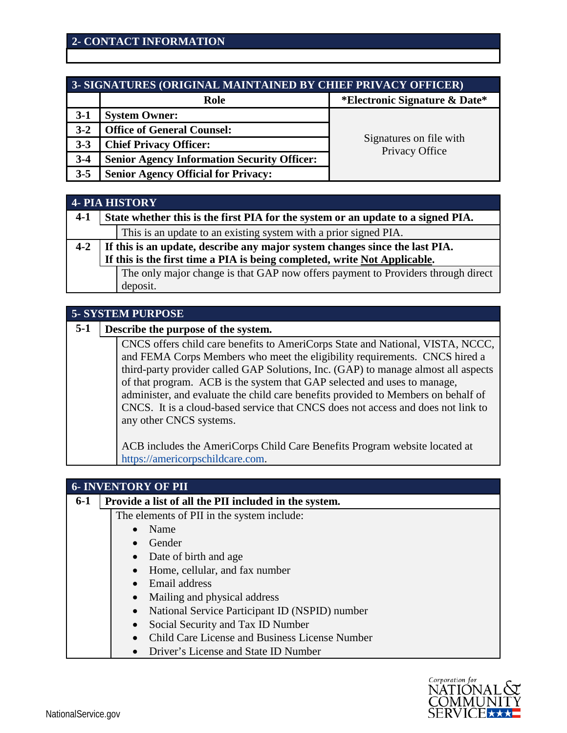| 3- SIGNATURES (ORIGINAL MAINTAINED BY CHIEF PRIVACY OFFICER) |                                                    |                                           |
|--------------------------------------------------------------|----------------------------------------------------|-------------------------------------------|
|                                                              | Role                                               | *Electronic Signature & Date*             |
| $3-1$                                                        | <b>System Owner:</b>                               |                                           |
| $3 - 2$                                                      | <b>Office of General Counsel:</b>                  |                                           |
| $3 - 3$                                                      | <b>Chief Privacy Officer:</b>                      | Signatures on file with<br>Privacy Office |
| $3-4$                                                        | <b>Senior Agency Information Security Officer:</b> |                                           |
| $3 - 5$                                                      | <b>Senior Agency Official for Privacy:</b>         |                                           |

|         | <b>4- PIA HISTORY</b>                                                            |                                                                                  |  |
|---------|----------------------------------------------------------------------------------|----------------------------------------------------------------------------------|--|
| $4-1$   | State whether this is the first PIA for the system or an update to a signed PIA. |                                                                                  |  |
|         |                                                                                  | This is an update to an existing system with a prior signed PIA.                 |  |
| $4 - 2$ |                                                                                  | If this is an update, describe any major system changes since the last PIA.      |  |
|         |                                                                                  | If this is the first time a PIA is being completed, write Not Applicable.        |  |
|         |                                                                                  | The only major change is that GAP now offers payment to Providers through direct |  |
|         |                                                                                  | deposit.                                                                         |  |

| <b>5- SYSTEM PURPOSE</b> |                                                                                                                                                                                                                                                                                                                                                                                                                                                                                                                                    |  |
|--------------------------|------------------------------------------------------------------------------------------------------------------------------------------------------------------------------------------------------------------------------------------------------------------------------------------------------------------------------------------------------------------------------------------------------------------------------------------------------------------------------------------------------------------------------------|--|
| $5-1$                    | Describe the purpose of the system.                                                                                                                                                                                                                                                                                                                                                                                                                                                                                                |  |
|                          | CNCS offers child care benefits to AmeriCorps State and National, VISTA, NCCC,<br>and FEMA Corps Members who meet the eligibility requirements. CNCS hired a<br>third-party provider called GAP Solutions, Inc. (GAP) to manage almost all aspects<br>of that program. ACB is the system that GAP selected and uses to manage,<br>administer, and evaluate the child care benefits provided to Members on behalf of<br>CNCS. It is a cloud-based service that CNCS does not access and does not link to<br>any other CNCS systems. |  |
|                          | ACB includes the AmeriCorps Child Care Benefits Program website located at<br>https://americorpschildcare.com.                                                                                                                                                                                                                                                                                                                                                                                                                     |  |

|         | <b>6- INVENTORY OF PII</b>                                  |  |  |
|---------|-------------------------------------------------------------|--|--|
| $6 - 1$ | Provide a list of all the PII included in the system.       |  |  |
|         | The elements of PII in the system include:                  |  |  |
|         | Name                                                        |  |  |
|         | Gender                                                      |  |  |
|         | • Date of birth and age                                     |  |  |
|         | Home, cellular, and fax number                              |  |  |
|         | • Email address                                             |  |  |
|         | Mailing and physical address                                |  |  |
|         | National Service Participant ID (NSPID) number<br>$\bullet$ |  |  |
|         | Social Security and Tax ID Number<br>$\bullet$              |  |  |
|         | Child Care License and Business License Number<br>$\bullet$ |  |  |
|         | Driver's License and State ID Number<br>$\bullet$           |  |  |

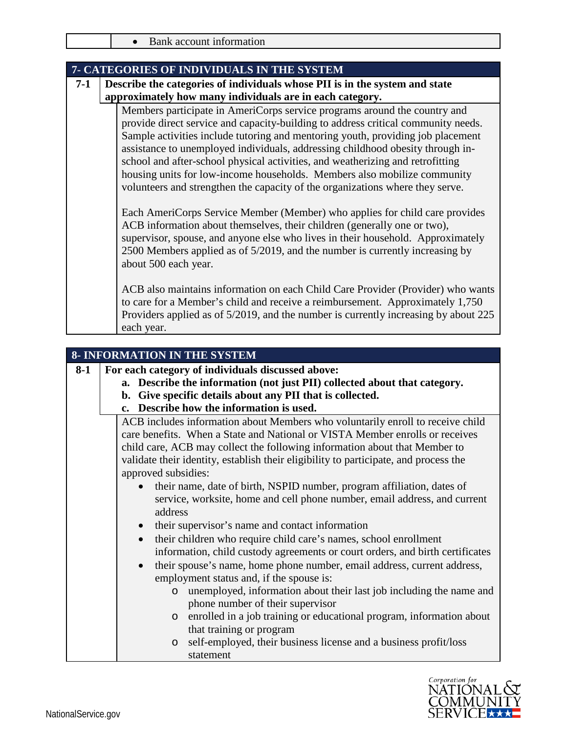|  |  | Bank account information |
|--|--|--------------------------|
|--|--|--------------------------|

|       | 7- CATEGORIES OF INDIVIDUALS IN THE SYSTEM                                                                                                                                                                                                                                                                                                                                                                                                                                                                                                                                         |  |  |
|-------|------------------------------------------------------------------------------------------------------------------------------------------------------------------------------------------------------------------------------------------------------------------------------------------------------------------------------------------------------------------------------------------------------------------------------------------------------------------------------------------------------------------------------------------------------------------------------------|--|--|
| $7-1$ | Describe the categories of individuals whose PII is in the system and state                                                                                                                                                                                                                                                                                                                                                                                                                                                                                                        |  |  |
|       | approximately how many individuals are in each category.                                                                                                                                                                                                                                                                                                                                                                                                                                                                                                                           |  |  |
|       | Members participate in AmeriCorps service programs around the country and<br>provide direct service and capacity-building to address critical community needs.<br>Sample activities include tutoring and mentoring youth, providing job placement<br>assistance to unemployed individuals, addressing childhood obesity through in-<br>school and after-school physical activities, and weatherizing and retrofitting<br>housing units for low-income households. Members also mobilize community<br>volunteers and strengthen the capacity of the organizations where they serve. |  |  |
|       | Each AmeriCorps Service Member (Member) who applies for child care provides<br>ACB information about themselves, their children (generally one or two),<br>supervisor, spouse, and anyone else who lives in their household. Approximately<br>2500 Members applied as of 5/2019, and the number is currently increasing by<br>about 500 each year.                                                                                                                                                                                                                                 |  |  |
|       | ACB also maintains information on each Child Care Provider (Provider) who wants<br>to care for a Member's child and receive a reimbursement. Approximately 1,750<br>Providers applied as of 5/2019, and the number is currently increasing by about 225<br>each year.                                                                                                                                                                                                                                                                                                              |  |  |

|       | <b>8- INFORMATION IN THE SYSTEM</b>                                                                                                                                                                                                                                                                                                  |  |  |
|-------|--------------------------------------------------------------------------------------------------------------------------------------------------------------------------------------------------------------------------------------------------------------------------------------------------------------------------------------|--|--|
| $8-1$ | For each category of individuals discussed above:                                                                                                                                                                                                                                                                                    |  |  |
|       | a. Describe the information (not just PII) collected about that category.                                                                                                                                                                                                                                                            |  |  |
|       | b. Give specific details about any PII that is collected.                                                                                                                                                                                                                                                                            |  |  |
|       | c. Describe how the information is used.                                                                                                                                                                                                                                                                                             |  |  |
|       | ACB includes information about Members who voluntarily enroll to receive child<br>care benefits. When a State and National or VISTA Member enrolls or receives<br>child care, ACB may collect the following information about that Member to<br>validate their identity, establish their eligibility to participate, and process the |  |  |
|       | approved subsidies:                                                                                                                                                                                                                                                                                                                  |  |  |
|       | their name, date of birth, NSPID number, program affiliation, dates of<br>service, worksite, home and cell phone number, email address, and current<br>address                                                                                                                                                                       |  |  |
|       | their supervisor's name and contact information                                                                                                                                                                                                                                                                                      |  |  |
|       | their children who require child care's names, school enrollment<br>$\bullet$<br>information, child custody agreements or court orders, and birth certificates                                                                                                                                                                       |  |  |
|       | their spouse's name, home phone number, email address, current address,<br>employment status and, if the spouse is:                                                                                                                                                                                                                  |  |  |
|       | unemployed, information about their last job including the name and<br>$\circ$<br>phone number of their supervisor                                                                                                                                                                                                                   |  |  |
|       | enrolled in a job training or educational program, information about<br>$\circ$<br>that training or program                                                                                                                                                                                                                          |  |  |
|       | self-employed, their business license and a business profit/loss<br>$\circ$<br>statement                                                                                                                                                                                                                                             |  |  |

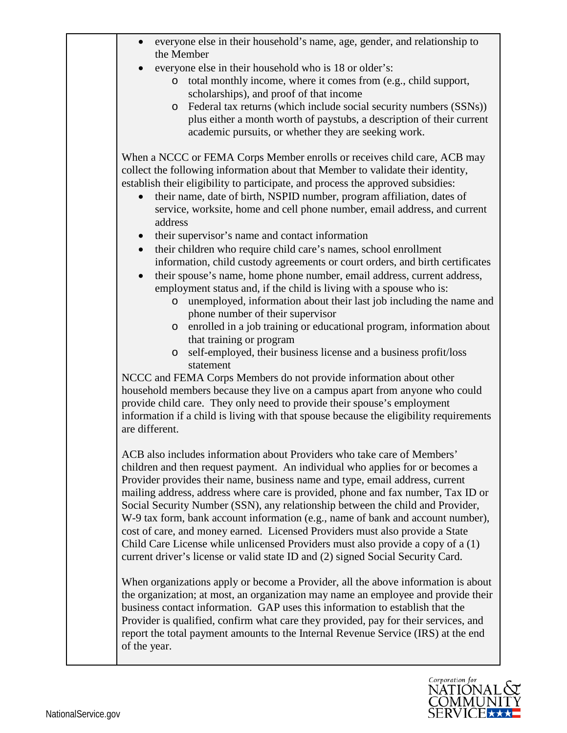| everyone else in their household's name, age, gender, and relationship to<br>the Member                                                                                                                                                                                                                                                                                                                                                                                                                                                                                                                                                                                                                                                                                                                                                                                                                                                                                                                                                                                                                                                                                                                                                                                                                                                                                                                                                                                                        |  |
|------------------------------------------------------------------------------------------------------------------------------------------------------------------------------------------------------------------------------------------------------------------------------------------------------------------------------------------------------------------------------------------------------------------------------------------------------------------------------------------------------------------------------------------------------------------------------------------------------------------------------------------------------------------------------------------------------------------------------------------------------------------------------------------------------------------------------------------------------------------------------------------------------------------------------------------------------------------------------------------------------------------------------------------------------------------------------------------------------------------------------------------------------------------------------------------------------------------------------------------------------------------------------------------------------------------------------------------------------------------------------------------------------------------------------------------------------------------------------------------------|--|
| everyone else in their household who is 18 or older's:<br>$\bullet$<br>total monthly income, where it comes from (e.g., child support,<br>$\circ$<br>scholarships), and proof of that income<br>Federal tax returns (which include social security numbers (SSNs))<br>O<br>plus either a month worth of paystubs, a description of their current<br>academic pursuits, or whether they are seeking work.                                                                                                                                                                                                                                                                                                                                                                                                                                                                                                                                                                                                                                                                                                                                                                                                                                                                                                                                                                                                                                                                                       |  |
| When a NCCC or FEMA Corps Member enrolls or receives child care, ACB may<br>collect the following information about that Member to validate their identity,<br>establish their eligibility to participate, and process the approved subsidies:<br>their name, date of birth, NSPID number, program affiliation, dates of<br>service, worksite, home and cell phone number, email address, and current<br>address<br>their supervisor's name and contact information<br>$\bullet$<br>their children who require child care's names, school enrollment<br>$\bullet$<br>information, child custody agreements or court orders, and birth certificates<br>their spouse's name, home phone number, email address, current address,<br>$\bullet$<br>employment status and, if the child is living with a spouse who is:<br>unemployed, information about their last job including the name and<br>$\circ$<br>phone number of their supervisor<br>enrolled in a job training or educational program, information about<br>$\circ$<br>that training or program<br>self-employed, their business license and a business profit/loss<br>$\circ$<br>statement<br>NCCC and FEMA Corps Members do not provide information about other<br>household members because they live on a campus apart from anyone who could<br>provide child care. They only need to provide their spouse's employment<br>information if a child is living with that spouse because the eligibility requirements<br>are different. |  |
| ACB also includes information about Providers who take care of Members'<br>children and then request payment. An individual who applies for or becomes a<br>Provider provides their name, business name and type, email address, current<br>mailing address, address where care is provided, phone and fax number, Tax ID or<br>Social Security Number (SSN), any relationship between the child and Provider,<br>W-9 tax form, bank account information (e.g., name of bank and account number),<br>cost of care, and money earned. Licensed Providers must also provide a State<br>Child Care License while unlicensed Providers must also provide a copy of a (1)<br>current driver's license or valid state ID and (2) signed Social Security Card.                                                                                                                                                                                                                                                                                                                                                                                                                                                                                                                                                                                                                                                                                                                                        |  |
| When organizations apply or become a Provider, all the above information is about<br>the organization; at most, an organization may name an employee and provide their<br>business contact information. GAP uses this information to establish that the<br>Provider is qualified, confirm what care they provided, pay for their services, and<br>report the total payment amounts to the Internal Revenue Service (IRS) at the end<br>of the year.                                                                                                                                                                                                                                                                                                                                                                                                                                                                                                                                                                                                                                                                                                                                                                                                                                                                                                                                                                                                                                            |  |

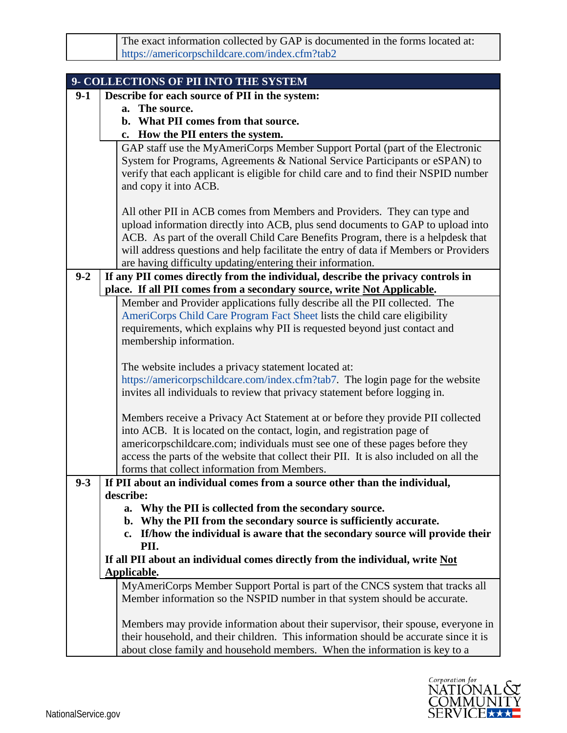| The exact information collected by GAP is documented in the forms located at: |
|-------------------------------------------------------------------------------|
| https://americorpschildcare.com/index.cfm?tab2                                |

|         | 9- COLLECTIONS OF PII INTO THE SYSTEM                                                                                                                                |
|---------|----------------------------------------------------------------------------------------------------------------------------------------------------------------------|
| $9-1$   | Describe for each source of PII in the system:                                                                                                                       |
|         | a. The source.                                                                                                                                                       |
|         | b. What PII comes from that source.                                                                                                                                  |
|         | c. How the PII enters the system.                                                                                                                                    |
|         | GAP staff use the MyAmeriCorps Member Support Portal (part of the Electronic                                                                                         |
|         | System for Programs, Agreements & National Service Participants or eSPAN) to                                                                                         |
|         | verify that each applicant is eligible for child care and to find their NSPID number                                                                                 |
|         | and copy it into ACB.                                                                                                                                                |
|         |                                                                                                                                                                      |
|         | All other PII in ACB comes from Members and Providers. They can type and                                                                                             |
|         | upload information directly into ACB, plus send documents to GAP to upload into<br>ACB. As part of the overall Child Care Benefits Program, there is a helpdesk that |
|         | will address questions and help facilitate the entry of data if Members or Providers                                                                                 |
|         | are having difficulty updating/entering their information.                                                                                                           |
| $9 - 2$ | If any PII comes directly from the individual, describe the privacy controls in                                                                                      |
|         | place. If all PII comes from a secondary source, write Not Applicable.                                                                                               |
|         | Member and Provider applications fully describe all the PII collected. The                                                                                           |
|         | AmeriCorps Child Care Program Fact Sheet lists the child care eligibility                                                                                            |
|         | requirements, which explains why PII is requested beyond just contact and                                                                                            |
|         | membership information.                                                                                                                                              |
|         |                                                                                                                                                                      |
|         | The website includes a privacy statement located at:                                                                                                                 |
|         | https://americorpschildcare.com/index.cfm?tab7. The login page for the website                                                                                       |
|         | invites all individuals to review that privacy statement before logging in.                                                                                          |
|         |                                                                                                                                                                      |
|         | Members receive a Privacy Act Statement at or before they provide PII collected                                                                                      |
|         | into ACB. It is located on the contact, login, and registration page of                                                                                              |
|         | americorpschildcare.com; individuals must see one of these pages before they                                                                                         |
|         | access the parts of the website that collect their PII. It is also included on all the                                                                               |
| $9 - 3$ | forms that collect information from Members.                                                                                                                         |
|         | If PII about an individual comes from a source other than the individual,<br>describe:                                                                               |
|         | a. Why the PII is collected from the secondary source.                                                                                                               |
|         | b. Why the PII from the secondary source is sufficiently accurate.                                                                                                   |
|         | c. If/how the individual is aware that the secondary source will provide their                                                                                       |
|         | PII.                                                                                                                                                                 |
|         | If all PII about an individual comes directly from the individual, write Not                                                                                         |
|         | Applicable.                                                                                                                                                          |
|         | MyAmeriCorps Member Support Portal is part of the CNCS system that tracks all                                                                                        |
|         | Member information so the NSPID number in that system should be accurate.                                                                                            |
|         | Members may provide information about their supervisor, their spouse, everyone in                                                                                    |
|         | their household, and their children. This information should be accurate since it is                                                                                 |
|         | about close family and household members. When the information is key to a                                                                                           |

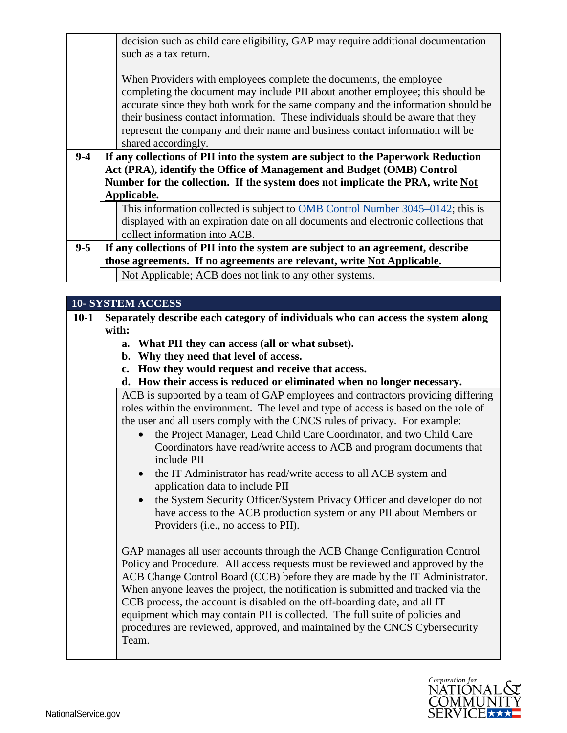|         | decision such as child care eligibility, GAP may require additional documentation                    |
|---------|------------------------------------------------------------------------------------------------------|
|         | such as a tax return.                                                                                |
|         |                                                                                                      |
|         | When Providers with employees complete the documents, the employee                                   |
|         | completing the document may include PII about another employee; this should be                       |
|         | accurate since they both work for the same company and the information should be                     |
|         | their business contact information. These individuals should be aware that they                      |
|         | represent the company and their name and business contact information will be<br>shared accordingly. |
|         |                                                                                                      |
| $9-4$   | If any collections of PII into the system are subject to the Paperwork Reduction                     |
|         | Act (PRA), identify the Office of Management and Budget (OMB) Control                                |
|         | Number for the collection. If the system does not implicate the PRA, write Not                       |
|         | Applicable.                                                                                          |
|         | This information collected is subject to OMB Control Number 3045–0142; this is                       |
|         | displayed with an expiration date on all documents and electronic collections that                   |
|         | collect information into ACB.                                                                        |
| $9 - 5$ | If any collections of PII into the system are subject to an agreement, describe                      |
|         | those agreements. If no agreements are relevant, write Not Applicable.                               |
|         | Not Applicable; ACB does not link to any other systems.                                              |

|        | <b>10- SYSTEM ACCESS</b>                                                           |  |  |
|--------|------------------------------------------------------------------------------------|--|--|
| $10-1$ | Separately describe each category of individuals who can access the system along   |  |  |
|        | with:                                                                              |  |  |
|        | a. What PII they can access (all or what subset).                                  |  |  |
|        | b. Why they need that level of access.                                             |  |  |
|        | c. How they would request and receive that access.                                 |  |  |
|        | d. How their access is reduced or eliminated when no longer necessary.             |  |  |
|        | ACB is supported by a team of GAP employees and contractors providing differing    |  |  |
|        | roles within the environment. The level and type of access is based on the role of |  |  |
|        | the user and all users comply with the CNCS rules of privacy. For example:         |  |  |
|        | the Project Manager, Lead Child Care Coordinator, and two Child Care               |  |  |
|        | Coordinators have read/write access to ACB and program documents that              |  |  |
|        | include PII                                                                        |  |  |
|        | the IT Administrator has read/write access to all ACB system and                   |  |  |
|        | application data to include PII                                                    |  |  |
|        | the System Security Officer/System Privacy Officer and developer do not            |  |  |
|        | have access to the ACB production system or any PII about Members or               |  |  |
|        | Providers (i.e., no access to PII).                                                |  |  |
|        |                                                                                    |  |  |
|        | GAP manages all user accounts through the ACB Change Configuration Control         |  |  |
|        | Policy and Procedure. All access requests must be reviewed and approved by the     |  |  |
|        | ACB Change Control Board (CCB) before they are made by the IT Administrator.       |  |  |
|        | When anyone leaves the project, the notification is submitted and tracked via the  |  |  |
|        | CCB process, the account is disabled on the off-boarding date, and all IT          |  |  |
|        | equipment which may contain PII is collected. The full suite of policies and       |  |  |
|        | procedures are reviewed, approved, and maintained by the CNCS Cybersecurity        |  |  |
|        | Team.                                                                              |  |  |

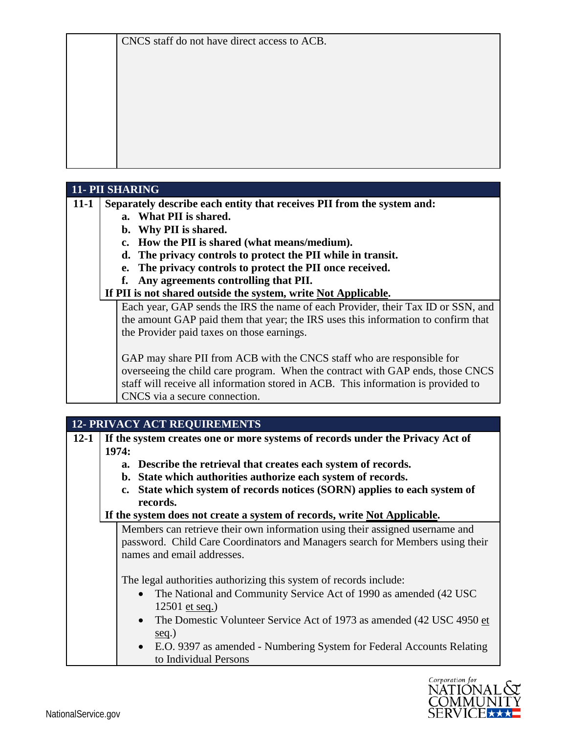## **11- PII SHARING**

**11-1 Separately describe each entity that receives PII from the system and:**

- **a. What PII is shared.**
- **b. Why PII is shared.**
- **c. How the PII is shared (what means/medium).**
- **d. The privacy controls to protect the PII while in transit.**
- **e. The privacy controls to protect the PII once received.**
- **f. Any agreements controlling that PII.**

#### **If PII is not shared outside the system, write Not Applicable.**

Each year, GAP sends the IRS the name of each Provider, their Tax ID or SSN, and the amount GAP paid them that year; the IRS uses this information to confirm that the Provider paid taxes on those earnings.

GAP may share PII from ACB with the CNCS staff who are responsible for overseeing the child care program. When the contract with GAP ends, those CNCS staff will receive all information stored in ACB. This information is provided to CNCS via a secure connection.

|          | <b>12- PRIVACY ACT REQUIREMENTS</b>                                      |                                                                                         |  |
|----------|--------------------------------------------------------------------------|-----------------------------------------------------------------------------------------|--|
| $12 - 1$ |                                                                          | If the system creates one or more systems of records under the Privacy Act of           |  |
|          |                                                                          | 1974:                                                                                   |  |
|          |                                                                          | a. Describe the retrieval that creates each system of records.                          |  |
|          |                                                                          | b. State which authorities authorize each system of records.                            |  |
|          |                                                                          | State which system of records notices (SORN) applies to each system of<br>$c_{\bullet}$ |  |
|          | records.                                                                 |                                                                                         |  |
|          | If the system does not create a system of records, write Not Applicable. |                                                                                         |  |
|          |                                                                          | Members can retrieve their own information using their assigned username and            |  |
|          |                                                                          | password. Child Care Coordinators and Managers search for Members using their           |  |
|          |                                                                          | names and email addresses.                                                              |  |
|          |                                                                          |                                                                                         |  |
|          |                                                                          | The legal authorities authorizing this system of records include:                       |  |
|          |                                                                          | • The National and Community Service Act of 1990 as amended (42 USC)                    |  |
|          |                                                                          | 12501 et seq.)                                                                          |  |
|          |                                                                          | • The Domestic Volunteer Service Act of 1973 as amended (42 USC 4950 et                 |  |
|          |                                                                          | seq.)                                                                                   |  |
|          |                                                                          | • E.O. 9397 as amended - Numbering System for Federal Accounts Relating                 |  |
|          |                                                                          | to Individual Persons                                                                   |  |

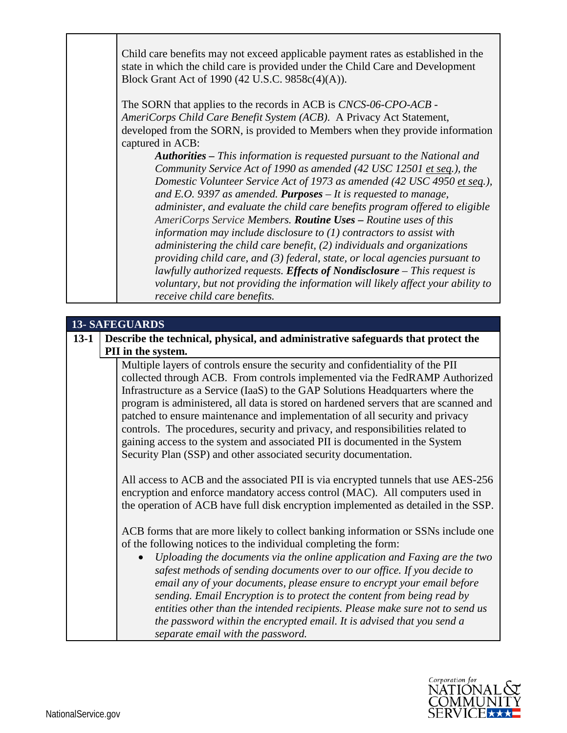Child care benefits may not exceed applicable payment rates as established in the state in which the child care is provided under the Child Care and Development Block Grant Act of 1990 (42 U.S.C. 9858c(4)(A)).

The SORN that applies to the records in ACB is *CNCS-06-CPO-ACB - AmeriCorps Child Care Benefit System (ACB)*. A Privacy Act Statement, developed from the SORN, is provided to Members when they provide information captured in ACB:

*Authorities – This information is requested pursuant to the National and Community Service Act of 1990 as amended (42 USC 12501 et seq.), the Domestic Volunteer Service Act of 1973 as amended (42 USC 4950 et seq.), and E.O. 9397 as amended. Purposes – It is requested to manage, administer, and evaluate the child care benefits program offered to eligible AmeriCorps Service Members. Routine Uses – Routine uses of this information may include disclosure to (1) contractors to assist with administering the child care benefit, (2) individuals and organizations providing child care, and (3) federal, state, or local agencies pursuant to lawfully authorized requests. Effects of Nondisclosure – This request is voluntary, but not providing the information will likely affect your ability to receive child care benefits.*

### **13- SAFEGUARDS**

**13-1 Describe the technical, physical, and administrative safeguards that protect the PII in the system.**

> Multiple layers of controls ensure the security and confidentiality of the PII collected through ACB. From controls implemented via the FedRAMP Authorized Infrastructure as a Service (IaaS) to the GAP Solutions Headquarters where the program is administered, all data is stored on hardened servers that are scanned and patched to ensure maintenance and implementation of all security and privacy controls. The procedures, security and privacy, and responsibilities related to gaining access to the system and associated PII is documented in the System Security Plan (SSP) and other associated security documentation.

> All access to ACB and the associated PII is via encrypted tunnels that use AES-256 encryption and enforce mandatory access control (MAC). All computers used in the operation of ACB have full disk encryption implemented as detailed in the SSP.

> ACB forms that are more likely to collect banking information or SSNs include one of the following notices to the individual completing the form:

> • *Uploading the documents via the online application and Faxing are the two safest methods of sending documents over to our office. If you decide to email any of your documents, please ensure to encrypt your email before sending. Email Encryption is to protect the content from being read by entities other than the intended recipients. Please make sure not to send us the password within the encrypted email. It is advised that you send a separate email with the password.*

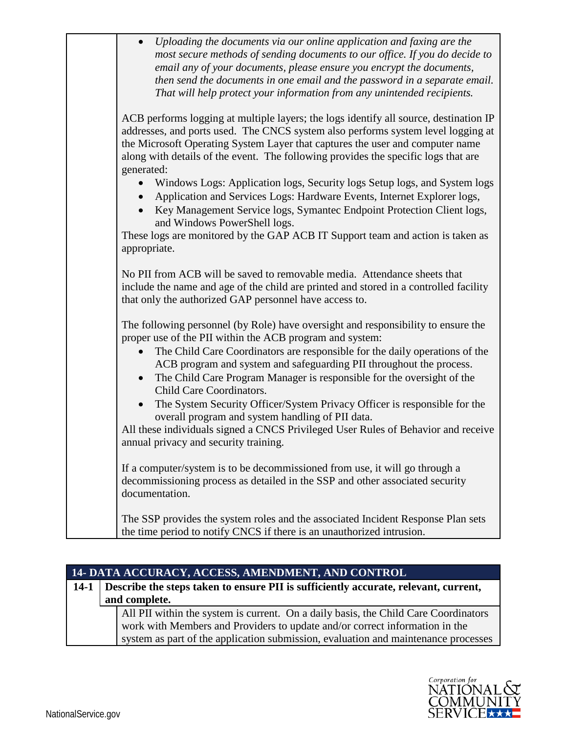| Uploading the documents via our online application and faxing are the<br>most secure methods of sending documents to our office. If you do decide to<br>email any of your documents, please ensure you encrypt the documents,<br>then send the documents in one email and the password in a separate email.<br>That will help protect your information from any unintended recipients. |
|----------------------------------------------------------------------------------------------------------------------------------------------------------------------------------------------------------------------------------------------------------------------------------------------------------------------------------------------------------------------------------------|
| ACB performs logging at multiple layers; the logs identify all source, destination IP<br>addresses, and ports used. The CNCS system also performs system level logging at<br>the Microsoft Operating System Layer that captures the user and computer name<br>along with details of the event. The following provides the specific logs that are<br>generated:                         |
| Windows Logs: Application logs, Security logs Setup logs, and System logs<br>Application and Services Logs: Hardware Events, Internet Explorer logs,<br>Key Management Service logs, Symantec Endpoint Protection Client logs,<br>and Windows PowerShell logs.                                                                                                                         |
| These logs are monitored by the GAP ACB IT Support team and action is taken as<br>appropriate.                                                                                                                                                                                                                                                                                         |
| No PII from ACB will be saved to removable media. Attendance sheets that<br>include the name and age of the child are printed and stored in a controlled facility<br>that only the authorized GAP personnel have access to.                                                                                                                                                            |
| The following personnel (by Role) have oversight and responsibility to ensure the<br>proper use of the PII within the ACB program and system:                                                                                                                                                                                                                                          |
| The Child Care Coordinators are responsible for the daily operations of the<br>ACB program and system and safeguarding PII throughout the process.<br>The Child Care Program Manager is responsible for the oversight of the<br>$\bullet$<br>Child Care Coordinators.                                                                                                                  |
| The System Security Officer/System Privacy Officer is responsible for the<br>$\bullet$<br>overall program and system handling of PII data.<br>All these individuals signed a CNCS Privileged User Rules of Behavior and receive                                                                                                                                                        |
| annual privacy and security training.<br>If a computer/system is to be decommissioned from use, it will go through a<br>decommissioning process as detailed in the SSP and other associated security<br>documentation.                                                                                                                                                                 |
| The SSP provides the system roles and the associated Incident Response Plan sets<br>the time period to notify CNCS if there is an unauthorized intrusion.                                                                                                                                                                                                                              |

|                                                                                            | 14- DATA ACCURACY, ACCESS, AMENDMENT, AND CONTROL                                   |
|--------------------------------------------------------------------------------------------|-------------------------------------------------------------------------------------|
| 14-1   Describe the steps taken to ensure PII is sufficiently accurate, relevant, current, |                                                                                     |
|                                                                                            | and complete.                                                                       |
|                                                                                            | All PII within the system is current. On a daily basis, the Child Care Coordinators |
|                                                                                            | work with Members and Providers to update and/or correct information in the         |
|                                                                                            | system as part of the application submission, evaluation and maintenance processes  |

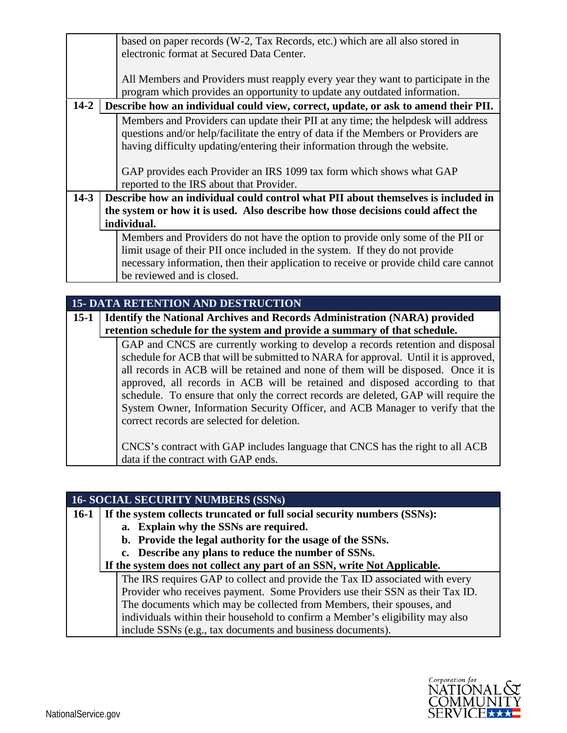|          |                                                                                   | based on paper records (W-2, Tax Records, etc.) which are all also stored in          |
|----------|-----------------------------------------------------------------------------------|---------------------------------------------------------------------------------------|
|          |                                                                                   | electronic format at Secured Data Center.                                             |
|          |                                                                                   |                                                                                       |
|          |                                                                                   | All Members and Providers must reapply every year they want to participate in the     |
|          |                                                                                   | program which provides an opportunity to update any outdated information.             |
| $14 - 2$ |                                                                                   | Describe how an individual could view, correct, update, or ask to amend their PII.    |
|          |                                                                                   | Members and Providers can update their PII at any time; the helpdesk will address     |
|          |                                                                                   | questions and/or help/facilitate the entry of data if the Members or Providers are    |
|          |                                                                                   | having difficulty updating/entering their information through the website.            |
|          |                                                                                   |                                                                                       |
|          |                                                                                   | GAP provides each Provider an IRS 1099 tax form which shows what GAP                  |
|          |                                                                                   | reported to the IRS about that Provider.                                              |
| $14-3$   | Describe how an individual could control what PII about themselves is included in |                                                                                       |
|          | the system or how it is used. Also describe how those decisions could affect the  |                                                                                       |
|          |                                                                                   | individual.                                                                           |
|          |                                                                                   | Members and Providers do not have the option to provide only some of the PII or       |
|          |                                                                                   | limit usage of their PII once included in the system. If they do not provide          |
|          |                                                                                   | necessary information, then their application to receive or provide child care cannot |
|          |                                                                                   | be reviewed and is closed.                                                            |
|          |                                                                                   |                                                                                       |

|          | <b>15- DATA RETENTION AND DESTRUCTION</b>                                        |                                                                                     |  |
|----------|----------------------------------------------------------------------------------|-------------------------------------------------------------------------------------|--|
| $15 - 1$ | <b>Identify the National Archives and Records Administration (NARA) provided</b> |                                                                                     |  |
|          |                                                                                  | retention schedule for the system and provide a summary of that schedule.           |  |
|          |                                                                                  | GAP and CNCS are currently working to develop a records retention and disposal      |  |
|          |                                                                                  | schedule for ACB that will be submitted to NARA for approval. Until it is approved, |  |
|          |                                                                                  | all records in ACB will be retained and none of them will be disposed. Once it is   |  |
|          |                                                                                  | approved, all records in ACB will be retained and disposed according to that        |  |
|          |                                                                                  | schedule. To ensure that only the correct records are deleted, GAP will require the |  |
|          |                                                                                  | System Owner, Information Security Officer, and ACB Manager to verify that the      |  |
|          |                                                                                  | correct records are selected for deletion.                                          |  |
|          |                                                                                  |                                                                                     |  |
|          |                                                                                  | CNCS's contract with GAP includes language that CNCS has the right to all ACB       |  |
|          |                                                                                  | data if the contract with GAP ends.                                                 |  |

|        | <b>16- SOCIAL SECURITY NUMBERS (SSNs)</b>                                     |
|--------|-------------------------------------------------------------------------------|
| $16-1$ | If the system collects truncated or full social security numbers (SSNs):      |
|        | a. Explain why the SSNs are required.                                         |
|        | b. Provide the legal authority for the usage of the SSNs.                     |
|        | c. Describe any plans to reduce the number of SSNs.                           |
|        | If the system does not collect any part of an SSN, write Not Applicable.      |
|        | The IRS requires GAP to collect and provide the Tax ID associated with every  |
|        | Provider who receives payment. Some Providers use their SSN as their Tax ID.  |
|        | The documents which may be collected from Members, their spouses, and         |
|        | individuals within their household to confirm a Member's eligibility may also |
|        | include SSNs (e.g., tax documents and business documents).                    |